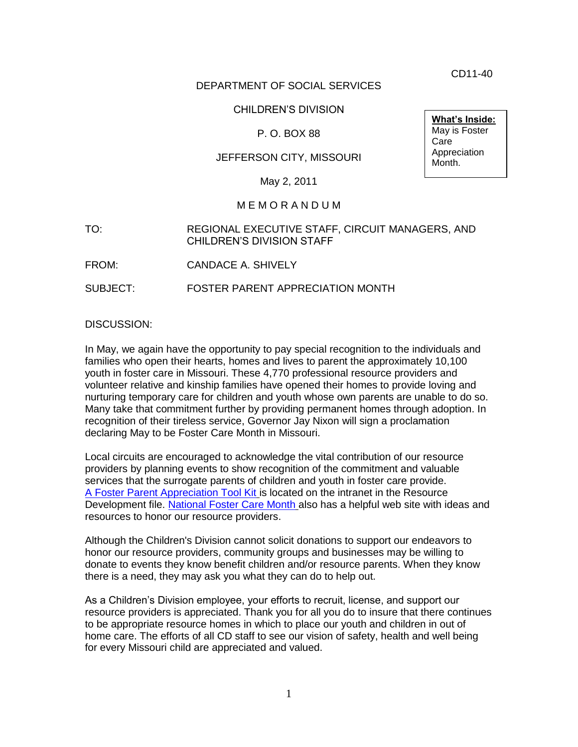CD11-40

**What's Inside:** May is Foster

Appreciation Month.

Care

## DEPARTMENT OF SOCIAL SERVICES

### CHILDREN'S DIVISION

### P. O. BOX 88

### JEFFERSON CITY, MISSOURI

May 2, 2011

#### M E M O R A N D U M

- TO: REGIONAL EXECUTIVE STAFF, CIRCUIT MANAGERS, AND CHILDREN'S DIVISION STAFF
- FROM: CANDACE A. SHIVELY

SUBJECT: FOSTER PARENT APPRECIATION MONTH

DISCUSSION:

In May, we again have the opportunity to pay special recognition to the individuals and families who open their hearts, homes and lives to parent the approximately 10,100 youth in foster care in Missouri. These 4,770 professional resource providers and volunteer relative and kinship families have opened their homes to provide loving and nurturing temporary care for children and youth whose own parents are unable to do so. Many take that commitment further by providing permanent homes through adoption. In recognition of their tireless service, Governor Jay Nixon will sign a proclamation declaring May to be Foster Care Month in Missouri.

Local circuits are encouraged to acknowledge the vital contribution of our resource providers by planning events to show recognition of the commitment and valuable services that the surrogate parents of children and youth in foster care provide. [A Foster Parent Appreciation Tool Kit](http://dssweb/cs/programs/res_dev/fcmonth/index.htm) is located on the intranet in the Resource Development file. [National Foster Care Month](http://fostercaremonth.org/Pages/default.aspx) also has a helpful web site with ideas and resources to honor our resource providers.

Although the Children's Division cannot solicit donations to support our endeavors to honor our resource providers, community groups and businesses may be willing to donate to events they know benefit children and/or resource parents. When they know there is a need, they may ask you what they can do to help out.

As a Children's Division employee, your efforts to recruit, license, and support our resource providers is appreciated. Thank you for all you do to insure that there continues to be appropriate resource homes in which to place our youth and children in out of home care. The efforts of all CD staff to see our vision of safety, health and well being for every Missouri child are appreciated and valued.